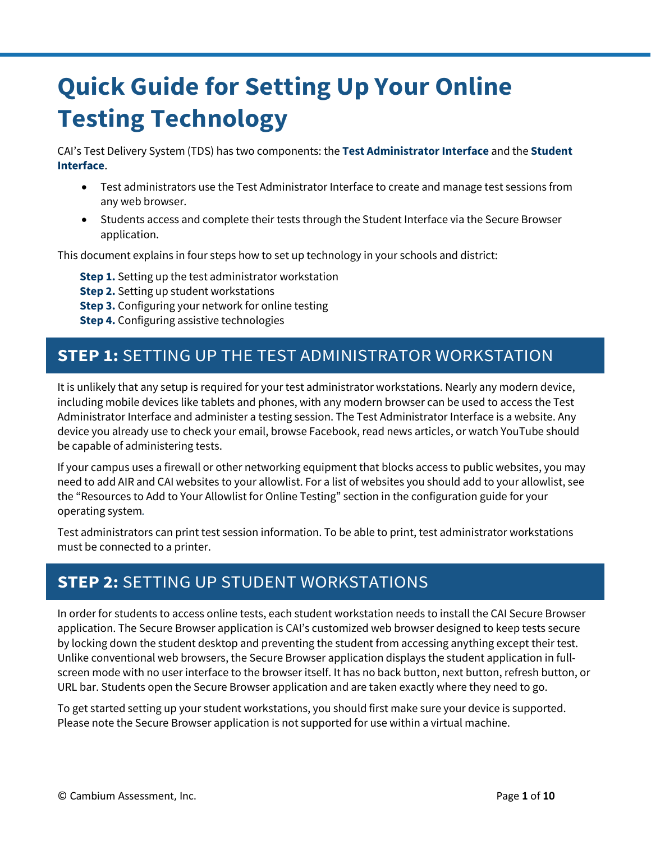# **Quick Guide for Setting Up Your Online Testing Technology**

CAI's Test Delivery System (TDS) has two components: the **Test Administrator Interface** and the **Student Interface**.

- Test administrators use the Test Administrator Interface to create and manage test sessions from any web browser.
- Students access and complete their tests through the Student Interface via the Secure Browser application.

This document explains in four steps how to set up technology in your schools and district:

**Step 1.** Setting up the test administrator workstation

- **Step 2.** Setting up student workstations
- **Step 3.** Configuring your network for online testing
- **Step 4.** Configuring assistive technologies

### **STEP 1:** SETTING UP THE TEST ADMINISTRATOR WORKSTATION

It is unlikely that any setup is required for your test administrator workstations. Nearly any modern device, including mobile devices like tablets and phones, with any modern browser can be used to access the Test Administrator Interface and administer a testing session. The Test Administrator Interface is a website. Any device you already use to check your email, browse Facebook, read news articles, or watch YouTube should be capable of administering tests.

If your campus uses a firewall or other networking equipment that blocks access to public websites, you may need to add AIR and CAI websites to your allowlist. For a list of websites you should add to your allowlist, see the "Resources to Add to Your Allowlist for Online Testing" section in the configuration guide for your operating system*.*

Test administrators can print test session information. To be able to print, test administrator workstations must be connected to a printer.

## **STEP 2:** SETTING UP STUDENT WORKSTATIONS

In order for students to access online tests, each student workstation needs to install the CAI Secure Browser application. The Secure Browser application is CAI's customized web browser designed to keep tests secure by locking down the student desktop and preventing the student from accessing anything except their test. Unlike conventional web browsers, the Secure Browser application displays the student application in fullscreen mode with no user interface to the browser itself. It has no back button, next button, refresh button, or URL bar. Students open the Secure Browser application and are taken exactly where they need to go.

To get started setting up your student workstations, you should first make sure your device is supported. Please note the Secure Browser application is not supported for use within a virtual machine.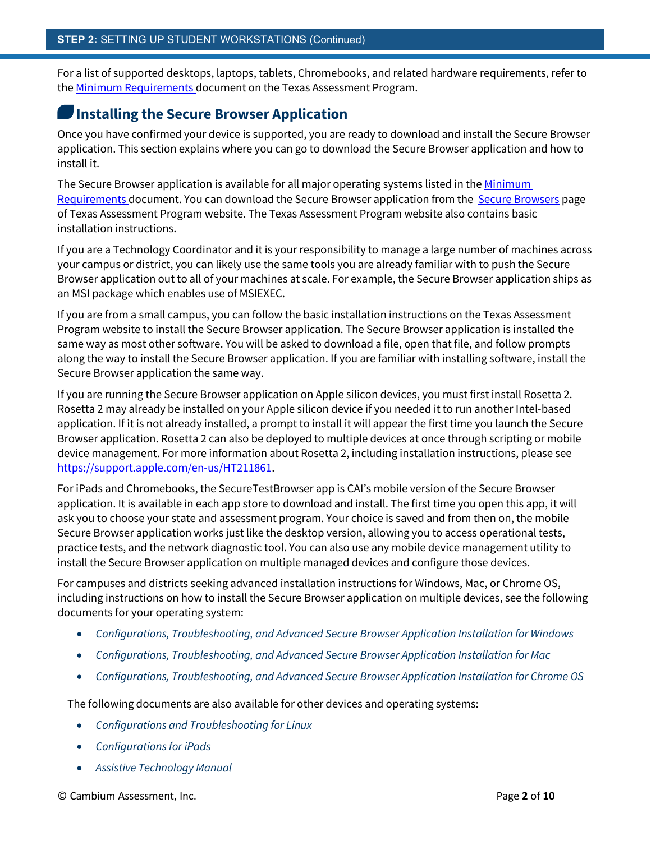For a list of supported desktops, laptops, tablets, Chromebooks, and related hardware requirements, refer to the **Minimum Requirements** document on the Texas Assessment Program.

#### **Installing the Secure Browser Application**

Once you have confirmed your device is supported, you are ready to download and install the Secure Browser application. This section explains where you can go to download the Secure Browser application and how to install it.

The Secure Browser application is available for all major operating systems listed in the Minimum [Requirements d](https://tea.texas.gov/sites/default/files/2021-22-minimum-system-requirements-07-01-21.pdf)ocument. You can download the Secure Browser application from the [Secure Browsers](https://www.texasassessment.gov/secure-browsers.html) page of Texas Assessment Program website. The Texas Assessment Program website also contains basic installation instructions.

If you are a Technology Coordinator and it is your responsibility to manage a large number of machines across your campus or district, you can likely use the same tools you are already familiar with to push the Secure Browser application out to all of your machines at scale. For example, the Secure Browser application ships as an MSI package which enables use of MSIEXEC.

If you are from a small campus, you can follow the basic installation instructions on the Texas Assessment Program website to install the Secure Browser application. The Secure Browser application is installed the same way as most other software. You will be asked to download a file, open that file, and follow prompts along the way to install the Secure Browser application. If you are familiar with installing software, install the Secure Browser application the same way.

If you are running the Secure Browser application on Apple silicon devices, you must first install Rosetta 2. Rosetta 2 may already be installed on your Apple silicon device if you needed it to run another Intel-based application. If it is not already installed, a prompt to install it will appear the first time you launch the Secure Browser application. Rosetta 2 can also be deployed to multiple devices at once through scripting or mobile device management. For more information about Rosetta 2, including installation instructions, please see [https://support.apple.com/en-us/HT211861.](https://support.apple.com/en-us/HT211861)

For iPads and Chromebooks, the SecureTestBrowser app is CAI's mobile version of the Secure Browser application. It is available in each app store to download and install. The first time you open this app, it will ask you to choose your state and assessment program. Your choice is saved and from then on, the mobile Secure Browser application works just like the desktop version, allowing you to access operational tests, practice tests, and the network diagnostic tool. You can also use any mobile device management utility to install the Secure Browser application on multiple managed devices and configure those devices.

For campuses and districts seeking advanced installation instructions for Windows, Mac, or Chrome OS, including instructions on how to install the Secure Browser application on multiple devices, see the following documents for your operating system:

- *Configurations, Troubleshooting, and Advanced Secure Browser Application Installation for Windows*
- *Configurations, Troubleshooting, and Advanced Secure Browser Application Installation for Mac*
- *Configurations, Troubleshooting, and Advanced Secure Browser Application Installation for Chrome OS*

The following documents are also available for other devices and operating systems:

- *Configurations and Troubleshooting for Linux*
- *Configurations for iPads*
- *Assistive Technology Manual*

© Cambium Assessment, Inc. Page **2** of **10**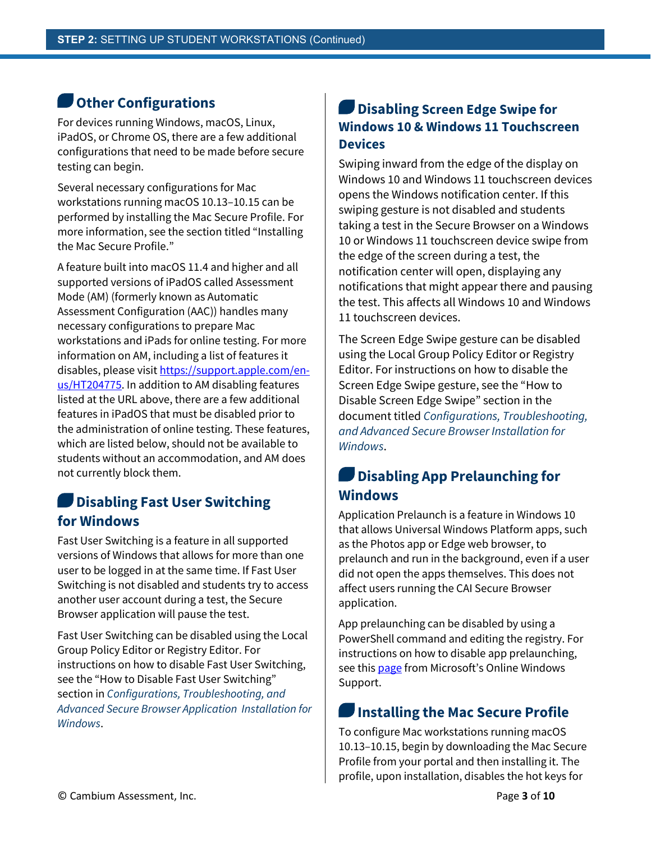### **Other Configurations**

For devices running Windows, macOS, Linux, iPadOS, or Chrome OS, there are a few additional configurations that need to be made before secure testing can begin.

Several necessary configurations for Mac workstations running macOS 10.13–10.15 can be performed by installing the Mac Secure Profile. For more information, see the section titled "Installing the Mac Secure Profile."

A feature built into macOS 11.4 and higher and all supported versions of iPadOS called Assessment Mode (AM) (formerly known as Automatic Assessment Configuration (AAC)) handles many necessary configurations to prepare Mac workstations and iPads for online testing. For more information on AM, including a list of features it disables, please visi[t https://support.apple.com/en](https://support.apple.com/en-us/HT204775)[us/HT204775.](https://support.apple.com/en-us/HT204775) In addition to AM disabling features listed at the URL above, there are a few additional features in iPadOS that must be disabled prior to the administration of online testing. These features, which are listed below, should not be available to students without an accommodation, and AM does not currently block them.

### **Disabling Fast User Switching for Windows**

Fast User Switching is a feature in all supported versions of Windows that allows for more than one user to be logged in at the same time. If Fast User Switching is not disabled and students try to access another user account during a test, the Secure Browser application will pause the test.

Fast User Switching can be disabled using the Local Group Policy Editor or Registry Editor. For instructions on how to disable Fast User Switching, see the "How to Disable Fast User Switching" section in *Configurations, Troubleshooting, and Advanced Secure Browser Application Installation for Windows*.

#### **Disabling Screen Edge Swipe for Windows 10 & Windows 11 Touchscreen Devices**

Swiping inward from the edge of the display on Windows 10 and Windows 11 touchscreen devices opens the Windows notification center. If this swiping gesture is not disabled and students taking a test in the Secure Browser on a Windows 10 or Windows 11 touchscreen device swipe from the edge of the screen during a test, the notification center will open, displaying any notifications that might appear there and pausing the test. This affects all Windows 10 and Windows 11 touchscreen devices.

The Screen Edge Swipe gesture can be disabled using the Local Group Policy Editor or Registry Editor. For instructions on how to disable the Screen Edge Swipe gesture, see the "How to Disable Screen Edge Swipe" section in the document titled *Configurations, Troubleshooting, and Advanced Secure Browser Installation for Windows*.

### **Disabling App Prelaunching for Windows**

Application Prelaunch is a feature in Windows 10 that allows Universal Windows Platform apps, such as the Photos app or Edge web browser, to prelaunch and run in the background, even if a user did not open the apps themselves. This does not affect users running the CAI Secure Browser application.

App prelaunching can be disabled by using a PowerShell command and editing the registry. For instructions on how to disable app prelaunching, see thi[s page](https://support.microsoft.com/en-us/help/4338725/k-12-assessment-unexpected-reports-apps-running-background-windows-10) from Microsoft's Online Windows Support.

### **Installing the Mac Secure Profile**

To configure Mac workstations running macOS 10.13–10.15, begin by downloading the Mac Secure Profile from your portal and then installing it. The profile, upon installation, disables the hot keys for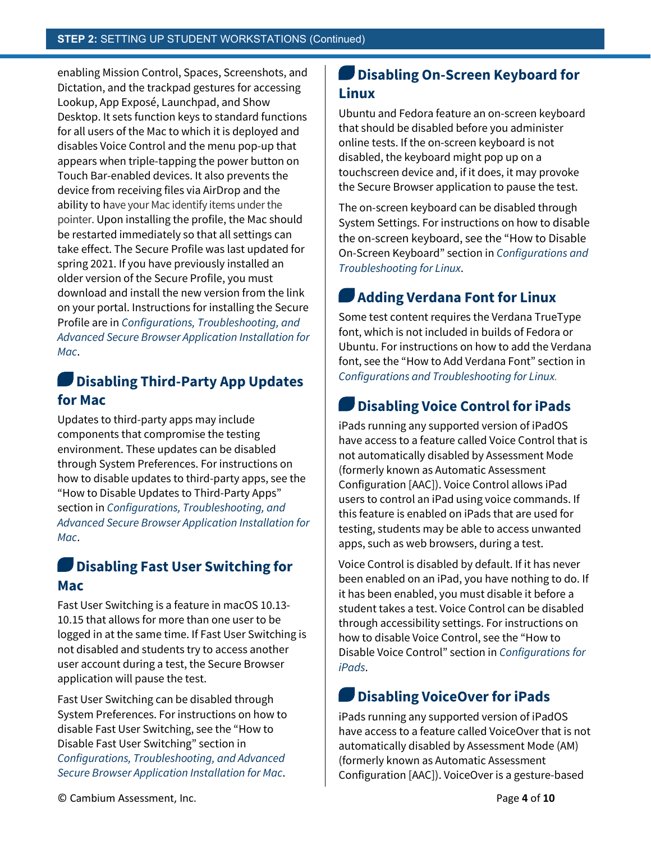enabling Mission Control, Spaces, Screenshots, and Dictation, and the trackpad gestures for accessing Lookup, App Exposé, Launchpad, and Show Desktop. It sets function keys to standard functions for all users of the Mac to which it is deployed and disables Voice Control and the menu pop-up that appears when triple-tapping the power button on Touch Bar-enabled devices. It also prevents the device from receiving files via AirDrop and the ability to have your Mac identify items under the pointer. Upon installing the profile, the Mac should be restarted immediately so that all settings can take effect. The Secure Profile was last updated for spring 2021. If you have previously installed an older version of the Secure Profile, you must download and install the new version from the link on your portal. Instructions for installing the Secure Profile are in *Configurations, Troubleshooting, and Advanced Secure Browser Application Installation for Mac*.

#### W **Disabling Third-Party App Updates for Mac**

Updates to third-party apps may include components that compromise the testing environment. These updates can be disabled through System Preferences. For instructions on how to disable updates to third-party apps, see the "How to Disable Updates to Third-Party Apps" section in *Configurations, Troubleshooting, and Advanced Secure Browser Application Installation for Mac*.

#### **Disabling Fast User Switching for Mac**

Fast User Switching is a feature in macOS 10.13- 10.15 that allows for more than one user to be logged in at the same time. If Fast User Switching is not disabled and students try to access another user account during a test, the Secure Browser application will pause the test.

Fast User Switching can be disabled through System Preferences. For instructions on how to disable Fast User Switching, see the "How to Disable Fast User Switching" section in *Configurations, Troubleshooting, and Advanced Secure Browser Application Installation for Mac*.

### **Disabling On-Screen Keyboard for Linux**

Ubuntu and Fedora feature an on-screen keyboard that should be disabled before you administer online tests. If the on-screen keyboard is not disabled, the keyboard might pop up on a touchscreen device and, if it does, it may provoke the Secure Browser application to pause the test.

The on-screen keyboard can be disabled through System Settings. For instructions on how to disable the on-screen keyboard, see the "How to Disable On-Screen Keyboard" section in *Configurations and Troubleshooting for Linux*.

### **Adding Verdana Font for Linux**

Some test content requires the Verdana TrueType font, which is not included in builds of Fedora or Ubuntu. For instructions on how to add the Verdana font, see the "How to Add Verdana Font" section in *Configurations and Troubleshooting for Linux.*

### **Disabling Voice Control for iPads**

iPads running any supported version of iPadOS have access to a feature called Voice Control that is not automatically disabled by Assessment Mode (formerly known as Automatic Assessment Configuration [AAC]). Voice Control allows iPad users to control an iPad using voice commands. If this feature is enabled on iPads that are used for testing, students may be able to access unwanted apps, such as web browsers, during a test.

Voice Control is disabled by default. If it has never been enabled on an iPad, you have nothing to do. If it has been enabled, you must disable it before a student takes a test. Voice Control can be disabled through accessibility settings. For instructions on how to disable Voice Control, see the "How to Disable Voice Control" section in *Configurations for iPads*.

### **Disabling VoiceOver for iPads**

iPads running any supported version of iPadOS have access to a feature called VoiceOver that is not automatically disabled by Assessment Mode (AM) (formerly known as Automatic Assessment Configuration [AAC]). VoiceOver is a gesture-based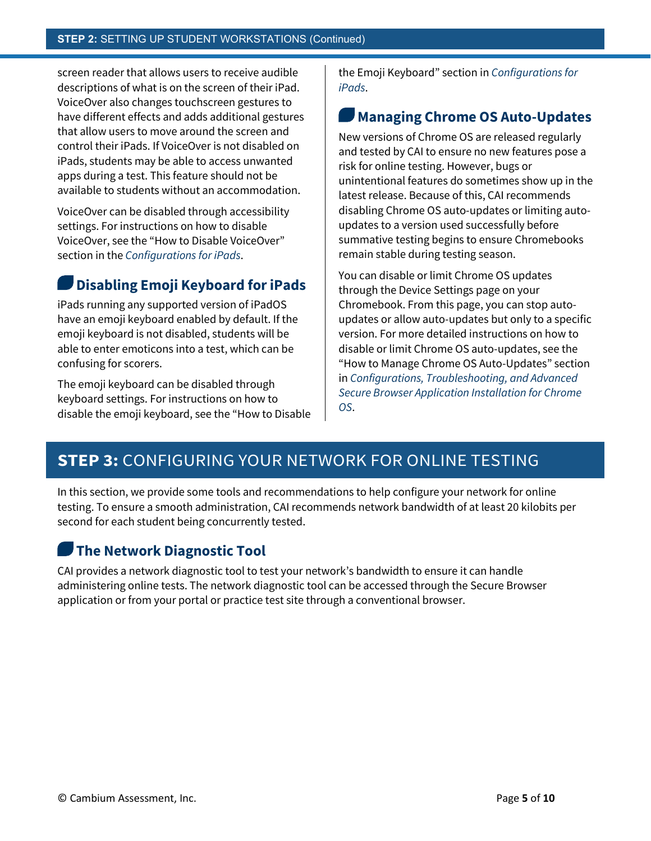screen reader that allows users to receive audible descriptions of what is on the screen of their iPad. VoiceOver also changes touchscreen gestures to have different effects and adds additional gestures that allow users to move around the screen and control their iPads. If VoiceOver is not disabled on iPads, students may be able to access unwanted apps during a test. This feature should not be available to students without an accommodation.

VoiceOver can be disabled through accessibility settings. For instructions on how to disable VoiceOver, see the "How to Disable VoiceOver" section in the *Configurations for iPads*.

### **Disabling Emoji Keyboard for iPads**

iPads running any supported version of iPadOS have an emoji keyboard enabled by default. If the emoji keyboard is not disabled, students will be able to enter emoticons into a test, which can be confusing for scorers.

The emoji keyboard can be disabled through keyboard settings. For instructions on how to disable the emoji keyboard, see the "How to Disable the Emoji Keyboard" section in *Configurations for iPads*.

#### **Managing Chrome OS Auto-Updates**

New versions of Chrome OS are released regularly and tested by CAI to ensure no new features pose a risk for online testing. However, bugs or unintentional features do sometimes show up in the latest release. Because of this, CAI recommends disabling Chrome OS auto-updates or limiting autoupdates to a version used successfully before summative testing begins to ensure Chromebooks remain stable during testing season.

You can disable or limit Chrome OS updates through the Device Settings page on your Chromebook. From this page, you can stop autoupdates or allow auto-updates but only to a specific version. For more detailed instructions on how to disable or limit Chrome OS auto-updates, see the "How to Manage Chrome OS Auto-Updates" section in *Configurations, Troubleshooting, and Advanced Secure Browser Application Installation for Chrome OS*.

### **STEP 3:** CONFIGURING YOUR NETWORK FOR ONLINE TESTING

In this section, we provide some tools and recommendations to help configure your network for online testing. To ensure a smooth administration, CAI recommends network bandwidth of at least 20 kilobits per second for each student being concurrently tested.

#### **The Network Diagnostic Tool**

CAI provides a network diagnostic tool to test your network's bandwidth to ensure it can handle administering online tests. The network diagnostic tool can be accessed through the Secure Browser application or from your portal or practice test site through a conventional browser.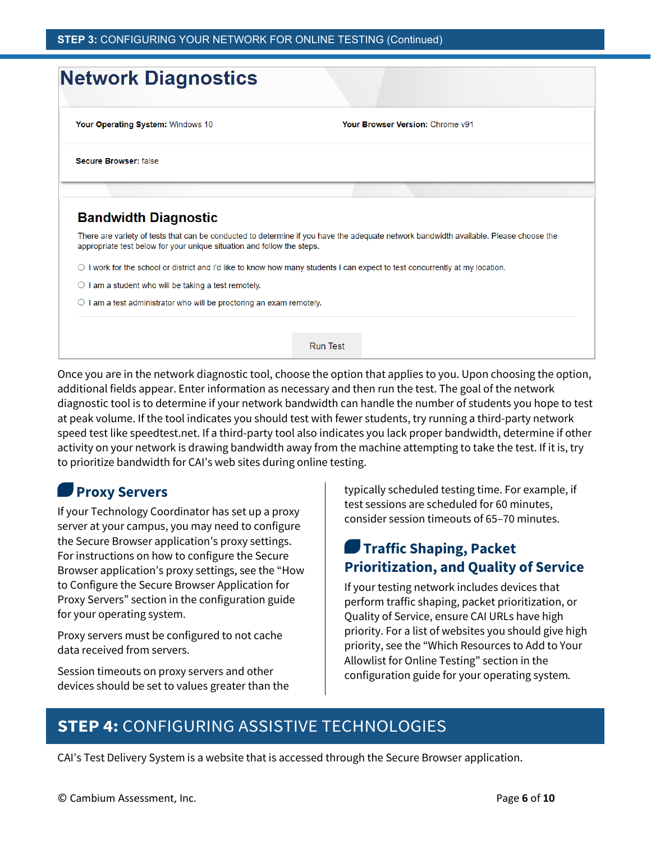| <b>Network Diagnostics</b>                                             |                                                                                                                                       |
|------------------------------------------------------------------------|---------------------------------------------------------------------------------------------------------------------------------------|
| Your Operating System: Windows 10                                      | Your Browser Version: Chrome v91                                                                                                      |
| <b>Secure Browser: false</b>                                           |                                                                                                                                       |
|                                                                        |                                                                                                                                       |
|                                                                        |                                                                                                                                       |
| <b>Bandwidth Diagnostic</b>                                            |                                                                                                                                       |
| appropriate test below for your unique situation and follow the steps. | There are variety of tests that can be conducted to determine if you have the adequate network bandwidth available. Please choose the |
|                                                                        | $\circ$ I work for the school or district and I'd like to know how many students I can expect to test concurrently at my location.    |
| am a student who will be taking a test remotely.                       |                                                                                                                                       |

Once you are in the network diagnostic tool, choose the option that applies to you. Upon choosing the option, additional fields appear. Enter information as necessary and then run the test. The goal of the network diagnostic tool is to determine if your network bandwidth can handle the number of students you hope to test at peak volume. If the tool indicates you should test with fewer students, try running a third-party network speed test like speedtest.net. If a third-party tool also indicates you lack proper bandwidth, determine if other activity on your network is drawing bandwidth away from the machine attempting to take the test. If it is, try to prioritize bandwidth for CAI's web sites during online testing.

### **Proxy Servers**

If your Technology Coordinator has set up a proxy server at your campus, you may need to configure the Secure Browser application's proxy settings. For instructions on how to configure the Secure Browser application's proxy settings, see the "How to Configure the Secure Browser Application for Proxy Servers" section in the configuration guide for your operating system.

Proxy servers must be configured to not cache data received from servers.

Session timeouts on proxy servers and other devices should be set to values greater than the typically scheduled testing time. For example, if test sessions are scheduled for 60 minutes, consider session timeouts of 65–70 minutes.

### **Traffic Shaping, Packet Prioritization, and Quality of Service**

If your testing network includes devices that perform traffic shaping, packet prioritization, or Quality of Service, ensure CAI URLs have high priority. For a list of websites you should give high priority, see the "Which Resources to Add to Your Allowlist for Online Testing" section in the configuration guide for your operating system*.*

### **STEP 4:** CONFIGURING ASSISTIVE TECHNOLOGIES

CAI's Test Delivery System is a website that is accessed through the Secure Browser application.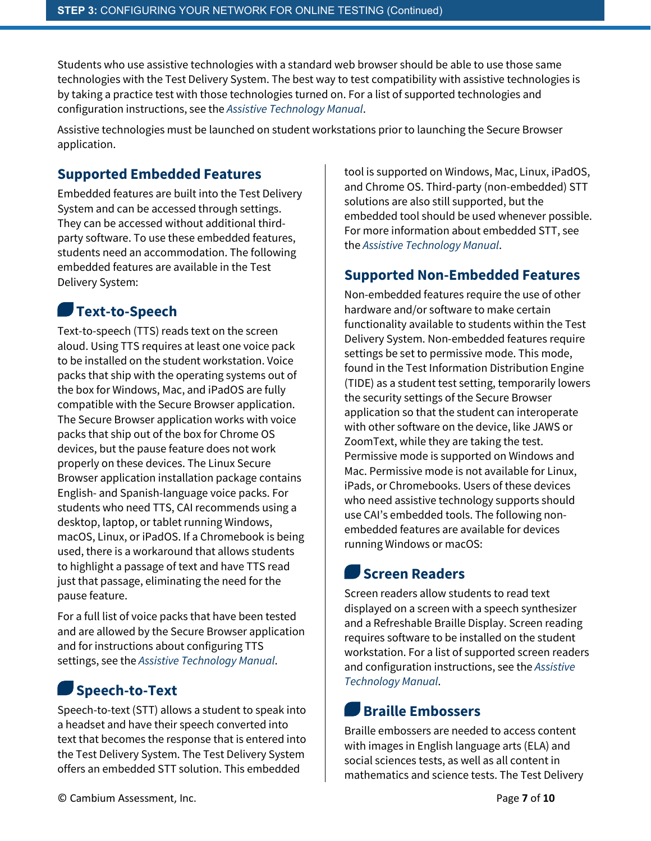Students who use assistive technologies with a standard web browser should be able to use those same technologies with the Test Delivery System. The best way to test compatibility with assistive technologies is by taking a practice test with those technologies turned on. For a list of supported technologies and configuration instructions, see the *Assistive Technology Manual*.

Assistive technologies must be launched on student workstations prior to launching the Secure Browser application.

#### **Supported Embedded Features**

Embedded features are built into the Test Delivery System and can be accessed through settings. They can be accessed without additional thirdparty software. To use these embedded features, students need an accommodation. The following embedded features are available in the Test Delivery System:

### **Text-to-Speech**

Text-to-speech (TTS) reads text on the screen aloud. Using TTS requires at least one voice pack to be installed on the student workstation. Voice packs that ship with the operating systems out of the box for Windows, Mac, and iPadOS are fully compatible with the Secure Browser application. The Secure Browser application works with voice packs that ship out of the box for Chrome OS devices, but the pause feature does not work properly on these devices. The Linux Secure Browser application installation package contains English- and Spanish-language voice packs. For students who need TTS, CAI recommends using a desktop, laptop, or tablet running Windows, macOS, Linux, or iPadOS. If a Chromebook is being used, there is a workaround that allows students to highlight a passage of text and have TTS read just that passage, eliminating the need for the pause feature.

For a full list of voice packs that have been tested and are allowed by the Secure Browser application and for instructions about configuring TTS settings, see the *Assistive Technology Manual*.

### **Speech-to-Text**

Speech-to-text (STT) allows a student to speak into a headset and have their speech converted into text that becomes the response that is entered into the Test Delivery System. The Test Delivery System offers an embedded STT solution. This embedded

tool is supported on Windows, Mac, Linux, iPadOS, and Chrome OS. Third-party (non-embedded) STT solutions are also still supported, but the embedded tool should be used whenever possible. For more information about embedded STT, see the *Assistive Technology Manual*.

#### **Supported Non-Embedded Features**

Non-embedded features require the use of other hardware and/or software to make certain functionality available to students within the Test Delivery System. Non-embedded features require settings be set to permissive mode. This mode, found in the Test Information Distribution Engine (TIDE) as a student test setting, temporarily lowers the security settings of the Secure Browser application so that the student can interoperate with other software on the device, like JAWS or ZoomText, while they are taking the test. Permissive mode is supported on Windows and Mac. Permissive mode is not available for Linux, iPads, or Chromebooks. Users of these devices who need assistive technology supports should use CAI's embedded tools. The following nonembedded features are available for devices running Windows or macOS:

### **Screen Readers**

Screen readers allow students to read text displayed on a screen with a speech synthesizer and a Refreshable Braille Display. Screen reading requires software to be installed on the student workstation. For a list of supported screen readers and configuration instructions, see the *Assistive Technology Manual*.

### **Braille Embossers**

Braille embossers are needed to access content with images in English language arts (ELA) and social sciences tests, as well as all content in mathematics and science tests. The Test Delivery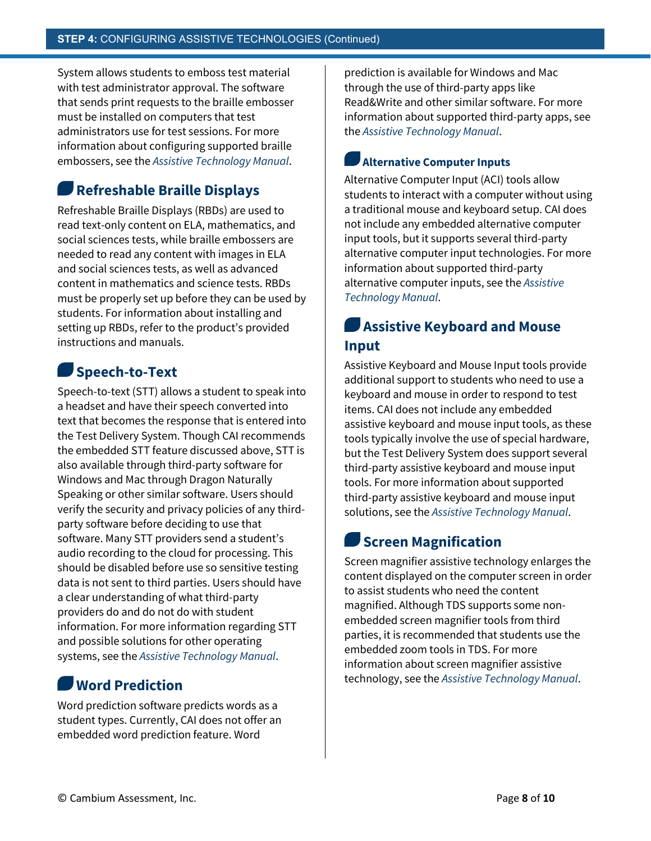System allows students to emboss test material with test administrator approval. The software that sends print requests to the braille embosser must be installed on computers that test administrators use for test sessions. For more information about configuring supported braille embossers, see the *Assistive Technology Manual*.

### **Refreshable Braille Displays**

Refreshable Braille Displays (RBDs) are used to read text-only content on ELA, mathematics, and social sciences tests, while braille embossers are needed to read any content with images in ELA and social sciences tests, as well as advanced content in mathematics and science tests. RBDs must be properly set up before they can be used by students. For information about installing and setting up RBDs, refer to the product's provided instructions and manuals.

### **Speech-to-Text**

Speech-to-text (STT) allows a student to speak into a headset and have their speech converted into text that becomes the response that is entered into the Test Delivery System. Though CAI recommends the embedded STT feature discussed above, STT is also available through third-party software for Windows and Mac through Dragon Naturally Speaking or other similar software. Users should verify the security and privacy policies of any thirdparty software before deciding to use that software. Many STT providers send a student's audio recording to the cloud for processing. This should be disabled before use so sensitive testing data is not sent to third parties. Users should have a clear understanding of what third-party providers do and do not do with student information. For more information regarding STT and possible solutions for other operating systems, see the *Assistive Technology Manual*.

### **Word Prediction**

Word prediction software predicts words as a student types. Currently, CAI does not offer an embedded word prediction feature. Word

prediction is available for Windows and Mac through the use of third-party apps like Read&Write and other similar software. For more information about supported third-party apps, see the *Assistive Technology Manual*.

#### **Alternative Computer Inputs**

Alternative Computer Input (ACI) tools allow students to interact with a computer without using a traditional mouse and keyboard setup. CAI does not include any embedded alternative computer input tools, but it supports several third-party alternative computer input technologies. For more information about supported third-party alternative computer inputs, see the *Assistive Technology Manual*.

#### **Assistive Keyboard and Mouse Input**

Assistive Keyboard and Mouse Input tools provide additional support to students who need to use a keyboard and mouse in order to respond to test items. CAI does not include any embedded assistive keyboard and mouse input tools, as these tools typically involve the use of special hardware, but the Test Delivery System does support several third-party assistive keyboard and mouse input tools. For more information about supported third-party assistive keyboard and mouse input solutions, see the *Assistive Technology Manual*.

### **Screen Magnification**

Screen magnifier assistive technology enlarges the content displayed on the computer screen in order to assist students who need the content magnified. Although TDS supports some nonembedded screen magnifier tools from third parties, it is recommended that students use the embedded zoom tools in TDS. For more information about screen magnifier assistive technology, see the *Assistive Technology Manual*.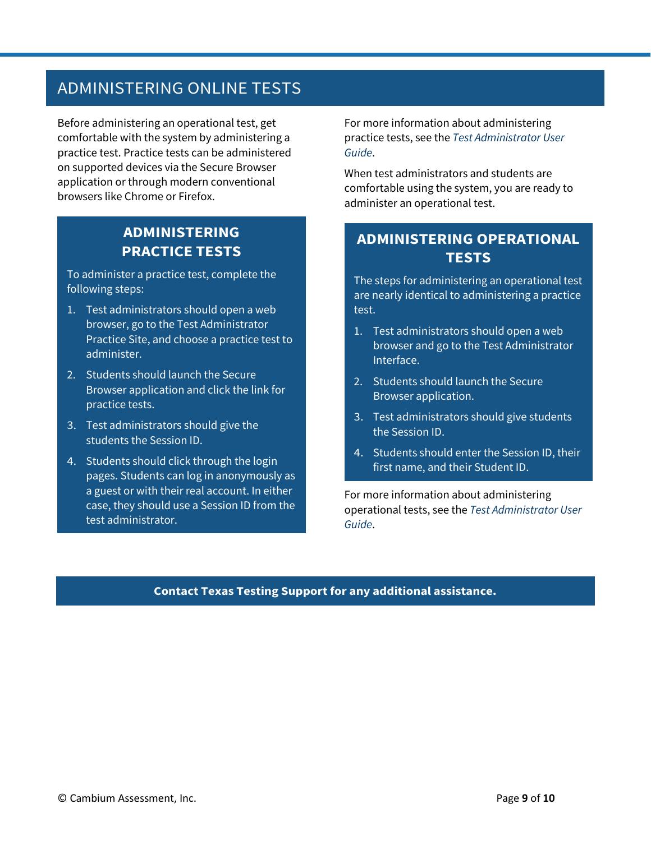### ADMINISTERING ONLINE TESTS

Before administering an operational test, get comfortable with the system by administering a practice test. Practice tests can be administered on supported devices via the Secure Browser application or through modern conventional browsers like Chrome or Firefox.

#### **ADMINISTERING PRACTICE TESTS**

To administer a practice test, complete the following steps:

- 1. Test administrators should open a web browser, go to the Test Administrator Practice Site, and choose a practice test to administer.
- 2. Students should launch the Secure Browser application and click the link for practice tests.
- 3. Test administrators should give the students the Session ID.
- 4. Students should click through the login pages. Students can log in anonymously as a guest or with their real account. In either case, they should use a Session ID from the test administrator.

For more information about administering practice tests, see the *Test Administrator User Guide*.

When test administrators and students are comfortable using the system, you are ready to administer an operational test.

#### **ADMINISTERING OPERATIONAL TESTS**

The steps for administering an operational test are nearly identical to administering a practice test.

- 1. Test administrators should open a web browser and go to the Test Administrator Interface.
- 2. Students should launch the Secure Browser application.
- 3. Test administrators should give students the Session ID.
- 4. Students should enter the Session ID, their first name, and their Student ID.

For more information about administering operational tests, see the *Test Administrator User Guide*.

#### **Contact Texas Testing Support for any additional assistance.**